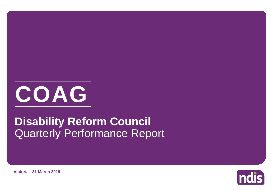

# Quarterly Performance Report **Disability Reform Council**



**Victoria - 31 March 2019**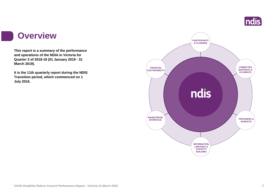

### **Overview**

I

**This report is a summary of the performance and operations of the NDIA in Victoria for Quarter 3 of 2018-19 (01 January 2019 - 31 March 2019).**

**It is the 11th quarterly report during the NDIS Transition period, which commenced on 1 July 2016.** 

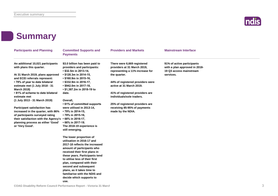

# **Summary**

| <b>Participants and Planning</b>                                                                              | <b>Committed Supports and</b><br><b>Payments</b>                                       | <b>Providers and Markets</b>                                                                  | <b>Mainstream Interface</b>                                                            |
|---------------------------------------------------------------------------------------------------------------|----------------------------------------------------------------------------------------|-----------------------------------------------------------------------------------------------|----------------------------------------------------------------------------------------|
| An additional 10,021 participants<br>with plans this quarter.                                                 | \$3.0 billion has been paid to<br>providers and participants:<br>• \$32.5m in 2013-14, | There were 6,669 registered<br>providers at 31 March 2019,<br>representing a 11% increase for | 91% of active participants<br>with a plan approved in 2018-<br>19 Q3 access mainstream |
| At 31 March 2019, plans approved<br>and ECEI referrals represent:                                             | • \$128.3m in 2014-15,<br>• \$160.9m in 2015-16,                                       | the quarter.                                                                                  | services.                                                                              |
| • 79% of year to date bilateral<br>estimate met (1 July 2018 - 31<br><b>March 2019)</b>                       | • \$332.9m in 2016-17,<br>• \$942.0m in 2017-18,<br>• \$1,387.2m in 2018-19 to         | 44% of registered providers were<br>active at 31 March 2019.                                  |                                                                                        |
| • 81% of scheme to date bilateral<br>estimate met                                                             | date.                                                                                  | 41% of registered providers are<br>individuals/sole traders.                                  |                                                                                        |
| (1 July 2013 - 31 March 2019)                                                                                 | Overall,<br>• 61% of committed supports                                                | 25% of registered providers are                                                               |                                                                                        |
| <b>Participant satisfaction has</b>                                                                           | were utilised in 2013-14,                                                              | receiving 85-95% of payments                                                                  |                                                                                        |
| increased in the quarter, with 86%<br>of participants surveyed rating<br>their satisfaction with the Agency's | • 79% in 2014-15,<br>• 79% in 2015-16,<br>$\cdot$ 68% in 2016-17,                      | made by the NDIA.                                                                             |                                                                                        |
| planning process as either 'Good'                                                                             | • 66% in 2017-18.                                                                      |                                                                                               |                                                                                        |
| or 'Very Good'.                                                                                               | The 2018-19 experience is<br>still emerging.                                           |                                                                                               |                                                                                        |
|                                                                                                               | The lower proportion of<br>utilisation in 2016-17 and                                  |                                                                                               |                                                                                        |
|                                                                                                               | 2017-18 reflects the increased                                                         |                                                                                               |                                                                                        |
|                                                                                                               | amount of participants who                                                             |                                                                                               |                                                                                        |
|                                                                                                               | received their first plans in                                                          |                                                                                               |                                                                                        |
|                                                                                                               | these years. Participants tend<br>to utilise less of their first                       |                                                                                               |                                                                                        |
|                                                                                                               | plan, compared with their                                                              |                                                                                               |                                                                                        |
|                                                                                                               | second and subsequent                                                                  |                                                                                               |                                                                                        |
|                                                                                                               | plans, as it takes time to                                                             |                                                                                               |                                                                                        |
|                                                                                                               | familiarise with the NDIS and                                                          |                                                                                               |                                                                                        |
|                                                                                                               | decide which supports to                                                               |                                                                                               |                                                                                        |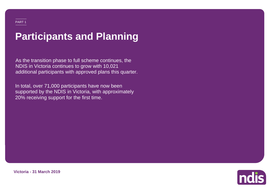# **Participants and Planning**

As the transition phase to full scheme continues, the NDIS in Victoria continues to grow with 10,021 additional participants with approved plans this quarter.

In total, over 71,000 participants have now been supported by the NDIS in Victoria, with approximately 20% receiving support for the first time.



**Victoria - 31 March 2019**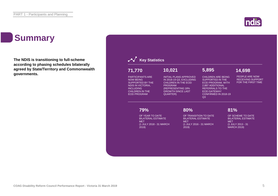# **Summary**

**The NDIS is transitioning to full-scheme according to phasing schedules bilaterally agreed by State/Territory and Commonwealth governments.**



**Indis**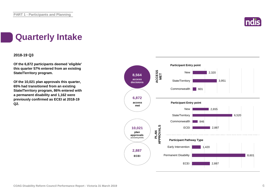

# **Quarterly Intake**

### **2018-19 Q3**

**Of the 6,872 participants deemed 'eligible' this quarter 57% entered from an existing State/Territory program.**

**Of the 10,021 plan approvals this quarter, 65% had transitioned from an existing State/Territory program, 86% entered with a permanent disability and 1,162 were previously confirmed as ECEI at 2018-19 Q2.**

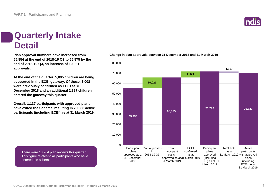# **Quarterly Intake Detail**

**55,854 at the end of 2018-19 Q2 to 65,875 by the end of 2018-19 Q3, an increase of 10,021 approvals.**

**At the end of the quarter, 5,895 children are being supported in the ECEI gateway. Of these, 3,008 were previously confirmed as ECEI at 31 December 2018 and an additional 2,887 children entered the gateway this quarter.**

**Overall, 1,137 participants with approved plans have exited the Scheme, resulting in 70,633 active participants (including ECEI) as at 31 March 2019.**

There were 13,904 plan reviews this quarter. This figure relates to all participants who have entered the scheme.

### **Plan approval numbers have increased from Change in plan approvals between 31 December 2018 and 31 March 2019**



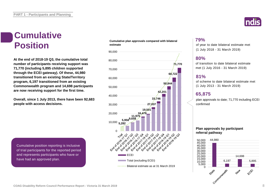# **Cumulative**

**At the end of 2018-19 Q3, the cumulative total number of participants receiving support was 71,770 (including 5,895 children supported through the ECEI gateway). Of these, 44,980 transitioned from an existing State/Territory program, 6,197 transitioned from an existing Commonwealth program and 14,698 participants are now receiving support for the first time.**

**Overall, since 1 July 2013, there have been 92,683 people with access decisions.**

Cumulative position reporting is inclusive of trial participants for the reported period and represents participants who have or have had an approved plan.

#### **Cumulative plan approvals compared with bilateral estimate Position** estimate plan approvals compared with bilateral extraction of year to date bilateral estimate met





### **79%**

(1 July 2018 - 31 March 2019)

### **80%**

of transition to date bilateral estimate met (1 July 2016 - 31 March 2019)

### **81%**

of scheme to date bilateral estimate met (1 July 2013 - 31 March 2019)

### **65,875**

plan approvals to date; 71,770 including ECEI confirmed

### **Plan approvals by participant referral pathway**

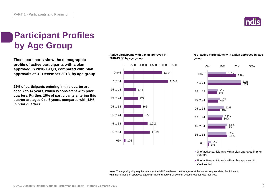

# **Participant Profiles by Age Group**

**These bar charts show the demographic profile of active participants with a plan approved in 2018-19 Q3, compared with plan approvals at 31 December 2018, by age group.**

**22% of participants entering in this quarter are aged 7 to 14 years, which is consistent with prior quarters. Further, 19% of participants entering this quarter are aged 0 to 6 years, compared with 13% in prior quarters.**

### **Active participants with a plan approved in 2018-19 Q3 by age group**



### **% of active participants with a plan approved by age group**



■ % of active participants with a plan approved in prior quarters

■% of active participants with a plan approved in 2018-19 Q3

Note: The age eligibility requirements for the NDIS are based on the age as at the access request date. Participants with their initial plan approved aged 65+ have turned 65 since their access request was received.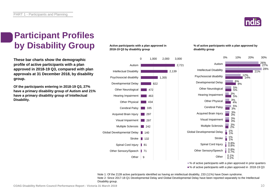

# **Participant Profiles by Disability Group**

**These bar charts show the demographic profile of active participants with a plan approved in 2018-19 Q3, compared with plan approvals at 31 December 2018, by disability group.**

**Of the participants entering in 2018-19 Q3, 27% have a primary disability group of Autism and 21% have a primary disability group of Intellectual Disability.**

### **Active participants with a plan approved in 2018-19 Q3 by disability group**



**% of active participants with a plan approved by disability group**



■ % of active participants with a plan approved in prior quarters ■% of active participants with a plan approved in 2018-19 Q3

Note 1: Of the 2139 active participants identified as having an intellectual disability, 233 (11%) have Down syndrome. Note 2: Since 2017-18 Q1 Developmental Delay and Global Developmental Delay have been reported separately to the Intellectual Disability group.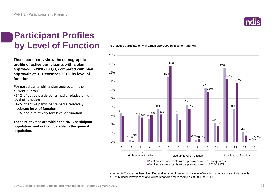

### **Participant Profiles by Level of Function**

**These bar charts show the demographic profile of active participants with a plan approved in 2018-19 Q3, compared with plan approvals at 31 December 2018, by level of function.**

**For participants with a plan approval in the current quarter:** 

**• 24% of active participants had a relatively high level of function**

**• 42% of active participants had a relatively moderate level of function** 

**• 33% had a relatively low level of function**

**These relativities are within the NDIS participant population, and not comparable to the general population.**

**% of active participants with a plan approved by level of function**



■% of active participants with a plan approved in 2018-19 Q3

Note: An ICT issue has been identified and as a result, reporting by level of function is not accurate. This issue is currently under investigation and will be reconciled for reporting as at 30 June 2019.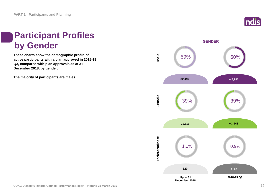

# **Participant Profiles by Gender**

**These charts show the demographic profile of active participants with a plan approved in 2018-19 Q3, compared with plan approvals as at 31 December 2018, by gender.**

**The majority of participants are males.**

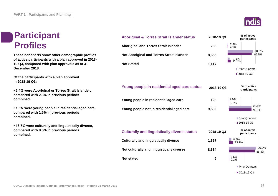# **Participant Profiles**

**These bar charts show other demographic profiles of active participants with a plan approved in 2018- 19 Q3, compared with plan approvals as at 31 December 2018.**

**Of the participants with a plan approved in 2018-19 Q3:**

**• 2.4% were Aboriginal or Torres Strait Islander, compared with 2.3% in previous periods combined.**

**• 1.3% were young people in residential aged care, compared with 1.5% in previous periods combined.**

**• 13.7% were culturally and linguistically diverse, compared with 8.5% in previous periods combined.**



| <b>Aboriginal &amp; Torres Strait Islander status</b> | 2018-19 Q3 | % of active<br>participants   |
|-------------------------------------------------------|------------|-------------------------------|
| <b>Aboriginal and Torres Strait Islander</b>          | 238        | $\frac{2.3\%}{2.4\%}$         |
| Not Aboriginal and Torres Strait Islander             | 8,655      | 90.6%<br>86.5%                |
| <b>Not Stated</b>                                     | 1,117      | 7.1%<br>11.2%                 |
|                                                       |            | Prior Quarters                |
|                                                       |            | ■2018-19 Q3                   |
| Young people in residential aged care status          | 2018-19 Q3 | % of active<br>participants   |
| Young people in residential aged care                 | 128        | 1.5%<br>1.3%                  |
| Young people not in residential aged care             | 9,882      | 98.5%<br>98.7%                |
|                                                       |            | Prior Quarters<br>■2018-19 Q3 |
| <b>Culturally and linguistically diverse status</b>   | 2018-19 Q3 | % of active<br>participants   |
| <b>Culturally and linguistically diverse</b>          | 1,367      | 8.5%<br>13.7%                 |
| Not culturally and linguistically diverse             | 8,634      | 90.9%<br>86.3%                |
| <b>Not stated</b>                                     | 9          | 0.5%<br>0.1%                  |
|                                                       |            | Prior Quarters                |
|                                                       |            | ■2018-19 Q3                   |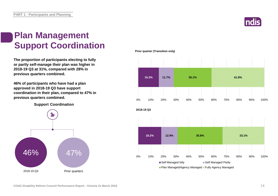

# **Plan Management Support Coordination**

**The proportion of participants electing to fully or partly self-manage their plan was higher in 2018-19 Q3 at 31%, compared with 28% in previous quarters combined.**

**46% of participants who have had a plan approved in 2018-19 Q3 have support coordination in their plan, compared to 47% in previous quarters combined.**

**Support Coordination**



**Prior quarter (Transition only)**

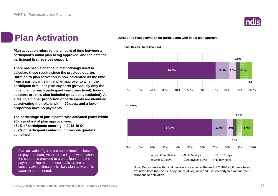

# **Plan Activation**

**Duration to Plan activation for participants with initial plan approval**



Note: Participants with initial plans approved after the end of 2018-19 Q1 have been excluded from the charts. They are relatively new and it is too early to examine their durations to activation.

**Plan activation refers to the amount of time between a participant's initial plan being approved, and the date the participant first receives support.**

**There has been a change in methodology used to calculate these results since the previous quarter. Duration to plan activation is now calculated as the time from a participant's initial plan approval to when the participant first uses plan supports (previously only the initial plan for each participant was considered). In-kind supports are now also included (previously excluded). As a result, a higher proportion of participants are identified as activating their plans within 90 days, and a lower proportion have no payments.**

**The percentage of participants who activated plans within 90 days of initial plan approval was:** 

- **84% of participants entering in 2018-19 Q1**
- **87% of participants entering in previous quarters combined**

Plan activation figures are approximations based on payment data. As there is a lag between when the support is provided to a participant, and the payment being made, these statistics are a conservative estimate; it is likely plan activation is faster than presented.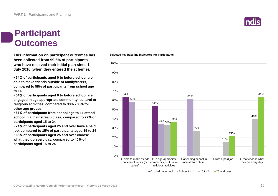# **Participant Outcomes**

**This information on participant outcomes has been collected from 99.6% of participants who have received their initial plan since 1 July 2016 (when they entered the scheme).**

**• 64% of participants aged 0 to before school are able to make friends outside of family/carers, compared to 58% of participants from school age to 14**

**• 54% of participants aged 0 to before school are engaged in age appropriate community, cultural or religious activities, compared to 33% - 36% for other age groups**

**• 61% of participants from school age to 14 attend school in a mainstream class, compared to 27% of participants aged 15 to 24**

**• 21% of participants aged 25 and over have a paid job, compared to 15% of participants aged 15 to 24 • 63% of participants aged 25 and over choose what they do every day, compared to 40% of participants aged 15 to 24**

#### **Selected key baseline indicators for participants**



 $\Box$  0 to before school  $\Box$  School to 14  $\Box$  15 to 24  $\Box$  25 and over

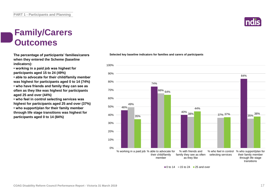# **Family/Carers Outcomes**

**The percentage of participants' families/carers when they entered the Scheme (baseline indicators):**

**• working in a paid job was highest for participants aged 15 to 24 (49%)**

**• able to advocate for their child/family member was highest for participants aged 0 to 14 (74%) • who have friends and family they can see as often as they like was highest for participants aged 25 and over (44%)**

**• who feel in control selecting services was highest for participants aged 25 and over (37%)**

**• who support/plan for their family member through life stage transitions was highest for participants aged 0 to 14 (84%)**



**Selected key baseline indicators for families and carers of participants**

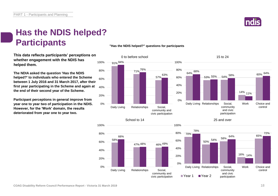

# **Has the NDIS helped? Participants**

**This data reflects participants' perceptions on whether engagement with the NDIS has helped them.**

**The NDIA asked the question 'Has the NDIS helped?' to individuals who entered the Scheme between 1 July 2016 and 31 March 2017, after their first year participating in the Scheme and again at the end of their second year of the Scheme.** 40%

**Participant perceptions in general improve from year one to year two of participation in the NDIS. However, for the 'Work' domain, the results deteriorated from year one to year two.**

### **"Has the NDIS helped?" questions for participants**



100%



100%





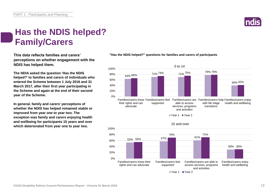

# **Has the NDIS helped? Family/Carers**

**This data reflects families and carers' perceptions on whether engagement with the NDIS has helped them.**

**The NDIA asked the question 'Has the NDIS helped?' to families and carers of individuals who entered the Scheme between 1 July 2016 and 31 March 2017, after their first year participating in the Scheme and again at the end of their second year of the Scheme.**

**In general, family and carers' perceptions of whether the NDIS has helped remained stable or improved from year one to year two. The exception was family and carers enjoying health and wellbeing for participants 15 years and over which deteriorated from year one to year two.**



**"Has the NDIS helped?" questions for families and carers of participants**

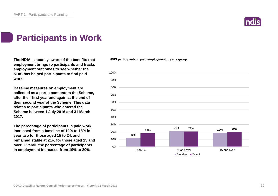

# **Participants in Work**

**The NDIA is acutely aware of the benefits that employment brings to participants and tracks employment outcomes to see whether the NDIS has helped participants to find paid work.**

**Baseline measures on employment are collected as a participant enters the Scheme, after their first year and again at the end of their second year of the Scheme. This data relates to participants who entered the Scheme between 1 July 2016 and 31 March 2017.**

**The percentage of participants in paid work increased from a baseline of 12% to 18% in year two for those aged 15 to 24, and remained stable at 21% for those aged 25 and over. Overall, the percentage of participants in employment increased from 19% to 20%.**

**NDIS participants in paid employment, by age group.**

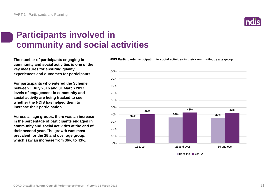

# **Participants involved in community and social activities**

**The number of participants engaging in community and social activities is one of the key measures for ensuring quality experiences and outcomes for participants.**

**For participants who entered the Scheme between 1 July 2016 and 31 March 2017, levels of engagement in community and social activity are being tracked to see whether the NDIS has helped them to increase their participation.**

**Across all age groups, there was an increase in the percentage of participants engaged in community and social activities at the end of their second year. The growth was most prevalent for the 25 and over age group, which saw an increase from 36% to 43%.**

**NDIS Participants participating in social activities in their community, by age group.**



■Baseline ■Year 2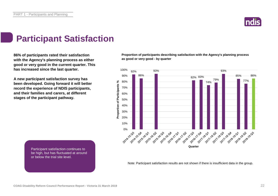

# **Participant Satisfaction**

**86% of participants rated their satisfaction with the Agency's planning process as either good or very good in the current quarter. This has increased since the last quarter.** 

**A new participant satisfaction survey has been developed. Going forward it will better record the experience of NDIS participants, and their families and carers, at different stages of the participant pathway.**

**Proportion of participants describing satisfaction with the Agency's planning process as good or very good - by quarter**



Participant satisfaction continues to be high, but has fluctuated at around or below the trial site level.

Note: Participant satisfaction results are not shown if there is insufficient data in the group.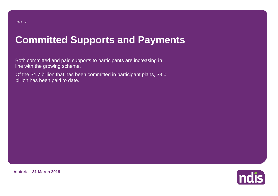# **Committed Supports and Payments**

Both committed and paid supports to participants are increasing in line with the growing scheme.

Of the \$4.7 billion that has been committed in participant plans, \$3.0 billion has been paid to date.



**Victoria - 31 March 2019**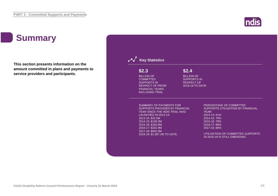# **Summary**

**This section presents information on the amount committed in plans and payments to service providers and participants.**



**ndis**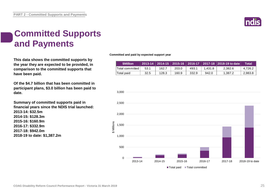

# **Committed Supports and Payments**

**This data shows the committed supports by the year they are expected to be provided, in comparison to the committed supports that have been paid.**

**Of the \$4.7 billion that has been committed in participant plans, \$3.0 billion has been paid to date.**

**Summary of committed supports paid in financial years since the NDIS trial launched: 2013-14: \$32.5m 2014-15: \$128.3m 2015-16: \$160.9m 2016-17: \$332.9m 2017-18: \$942.0m 2018-19 to date: \$1,387.2m**

**Committed and paid by expected support year**

| <b>SMillion</b>    |      |       |       |       |         | 2013-14 2014-15 2015-16 2016-17 2017-18 2018-19 to date | Total   |
|--------------------|------|-------|-------|-------|---------|---------------------------------------------------------|---------|
| 'Total committed . | 53.1 | 162.7 | 203.0 | 493.1 | 1.431.8 | 2.382.6                                                 | 4.726.2 |
| Total paid         | 32.5 | 128.3 | 160.9 | 332.9 | 942.0   | 1.387.2                                                 | 2,983.8 |

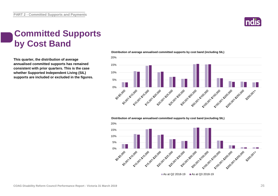

# **Committed Supports by Cost Band**

**This quarter, the distribution of average annualised committed supports has remained consistent with prior quarters. This is the case whether Supported Independent Living (SIL) supports are included or excluded in the figures.** **Distribution of average annualised committed supports by cost band (including SIL)** 



**Distribution of average annualised committed supports by cost band (excluding SIL)** 

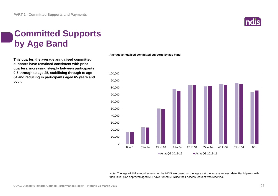

# **Committed Supports by Age Band**

**This quarter, the average annualised committed supports have remained consistent with prior quarters, increasing steeply between participants 0-6 through to age 25, stabilising through to age 64 and reducing in participants aged 65 years and over.**

**Average annualised committed supports by age band**



Note: The age eligibility requirements for the NDIS are based on the age as at the access request date. Participants with their initial plan approved aged 65+ have turned 65 since their access request was received.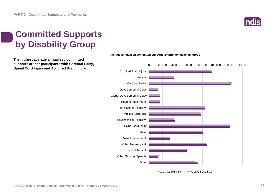

# **Committed Supports by Disability Group**

**The highest average annualised committed supports are for participants with Cerebral Palsy, Spinal Cord Injury and Acquired Brain Injury.**



#### **Average annualised committed supports by primary disability group**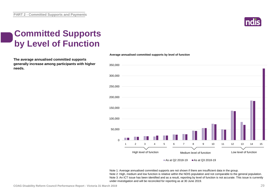

# **Committed Supports by Level of Function**

**The average annualised committed supports generally increase among participants with higher needs.** 

### 0 50,000 100,000 150,000 200,000 250,000 300,000 350,000 High level of function<br>
High level of function<br>
Medium level of function<br>
Low level of function 1 2 3 4 5 6 7 8 9 10 11 12 13 14 15 High level of function Medium level of function Low level of function

**Average annualised committed supports by level of function**

As at Q2 2018-19  $\blacksquare$  As at Q3 2018-19

Note 1: Average annualised committed supports are not shown if there are insufficient data in the group. Note 2: High, medium and low function is relative within the NDIS population and not comparable to the general population. Note 3: An ICT issue has been identified and as a result, reporting by level of function is not accurate. This issue is currently under investigation and will be reconciled for reporting as at 30 June 2019.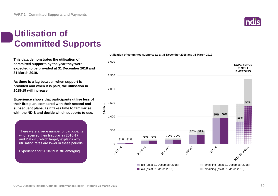**PART 2 - Committed Supports and Payments**

### **Utilisation of Committed Supports**

**This data demonstrates the utilisation of committed supports by the year they were expected to be provided at 31 December 2018 and 31 March 2019.** 

**As there is a lag between when support is provided and when it is paid, the utilisation in 2018-19 will increase.**

**Experience shows that participants utilise less of their first plan, compared with their second and subsequent plans, as it takes time to familiarise with the NDIS and decide which supports to use.** 

There were a large number of participants who received their first plan in 2016-17 and 2017-18 which largely explains why utilisation rates are lower in these periods.

Experience for 2018-19 is still emerging.





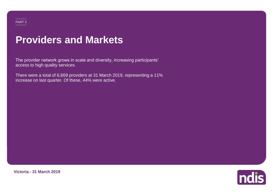### PART 3

# **Providers and Markets**

The provider network grows in scale and diversity, increasing participants' access to high quality services.

There were a total of 6,669 providers at 31 March 2019, representing a 11% increase on last quarter. Of these, 44% were active.



**Victoria - 31 March 2019**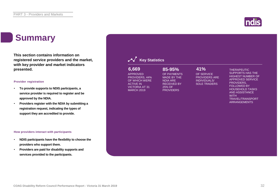

# **Summary**

**This section contains information on registered service providers and the market, with key provider and market indicators presented.**

### **Provider registration**

- **To provide supports to NDIS participants, a service provider is required to register and be approved by the NDIA.**
- **Providers register with the NDIA by submitting a registration request, indicating the types of support they are accredited to provide.**

### **How providers interact with participants**

- **NDIS participants have the flexibility to choose the providers who support them.**
- **Providers are paid for disability supports and services provided to the participants.**

| 6,669<br><b>APPROVED</b><br>PROVIDERS, 44%<br>OF WHICH WERE<br><b>ACTIVE IN</b><br><b>VICTORIA AT 31</b><br><b>MARCH 2019</b> | 85-95%<br>OF PAYMENTS<br>MADE BY THE<br><b>NDIA ARE</b><br><b>RECEIVED BY</b><br>25% OF<br><b>PROVIDERS</b> | 41%<br>OF SERVICE<br><b>PROVIDERS ARE</b><br>INDIVIDUALS/<br><b>SOLE TRADERS</b> | <b>THERAPEUTIC</b><br><b>SUPPORTS HAS THE</b><br><b>HIGHEST NUMBER OF</b><br><b>APPROVED SERVICE</b><br>PROVIDERS,<br><b>FOLLOWED BY</b><br><b>HOUSEHOLD TASKS</b><br><b>AND ASSISTANCE</b><br><b>WITH</b><br><b>TRAVEL/TRANSPORT</b><br><b>ARRANGEMENTS</b> |
|-------------------------------------------------------------------------------------------------------------------------------|-------------------------------------------------------------------------------------------------------------|----------------------------------------------------------------------------------|--------------------------------------------------------------------------------------------------------------------------------------------------------------------------------------------------------------------------------------------------------------|
|-------------------------------------------------------------------------------------------------------------------------------|-------------------------------------------------------------------------------------------------------------|----------------------------------------------------------------------------------|--------------------------------------------------------------------------------------------------------------------------------------------------------------------------------------------------------------------------------------------------------------|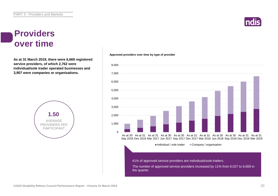# **Indi**

### **Providers over time**

**As at 31 March 2019, there were 6,669 registered service providers, of which 2,762 were individual/sole trader operated businesses and 3,907 were companies or organisations.**



#### **Approved providers over time by type of provider**

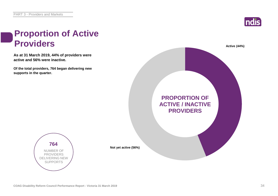

# **Proportion of Active Providers Active (44%)**

**As at 31 March 2019, 44% of providers were active and 56% were inactive.**

**Of the total providers, 764 began delivering new supports in the quarter.**



**764** NUMBER OF PROVIDERS DELIVERING NEW SUPPORTS

**Not yet active (56%)**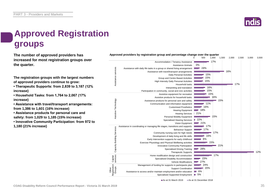# **Approved Registration groups**

**The number of approved providers has Approved providers by registration group and percentage change over the quarter**<br>  $\frac{0}{2}$  500 1.000 1.500 **increased for most registration groups over the quarter.**

**The registration groups with the largest numbers of approved providers continue to grow:**

**• Therapeutic Supports: from 2,839 to 3,187 (12% increase)**

**• Household Tasks: from 1,764 to 2,067 (17% increase)**

**• Assistance with travel/transport arrangements: from 1,386 to 1,601 (16% increase)**

**• Assistance products for personal care and safety: from 1,029 to 1,185 (15% increase)**

**• Innovative Community Participation: from 972 to** 

**1,180 (21% increase)**



As at 31 March 2019 As at 31 December 2018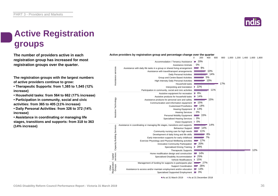# **Active Registration groups**

**The number of providers active in each registration group has increased for most registration groups over the quarter.**

**The registration groups with the largest numbers of active providers continue to grow:**

**• Therapeutic Supports: from 1,385 to 1,545 (12% increase)**

**• Household tasks: from 564 to 662 (17% increase)**

**• Participation in community, social and civic activities: from 365 to 405 (11% increase)**

**• Daily Personal Activities: from 326 to 372 (14% increase)**

**• Assistance in coordinating or managing life stages, transitions and supports: from 318 to 363 (14% increase)**

As at 31 March 2019 As at 31 December 2018

20% Accommodation / Tenancy Assistance 0% Assistance Animals Assistance services services Assistance with daily life tasks in a group or shared living arrangement 9% a. 10% Assistance with travel/transport arrangements  $14%$ Daily Personal Activities Assistance 5% Group and Centre Based Activities High Intensity Daily Personal Activities  $= 10%$ Household tasks 17% Interpreting and translation 22% Participation in community, social and civic activities 11% 8% Assistive equipment for recreation  $-14%$ Assistive products for household tasks Assistive Technology Assistive Technology 15% Assistance products for personal care and safety  $-15%$ Communication and information equipment  $- 14%$ Customised Prosthetics Hearing Equipment  $-13%$ Hearing Services 0% Personal Mobility Equipment  $\blacksquare$  15% 0% Specialised Hearing Services 0% Vision Equipment 14% Assistance in coordinating or managing life stages, transitions and supports g<br>co Capacity Building Services Service  $\blacksquare$  14% Behaviour Support Community nursing care for high needs  $-11%$ Building: Development of daily living and life skills 8% Early Intervention supports for early childhood 7% Exercise Physiology and Physical Wellbeing activities  $- 17%$ Capacity  $-20%$ Innovative Community Participation  $= 28%$ Specialised Driving Training Therapeutic Supports 12%  $-14%$ Home modification design and construction Capital services  $-25%$ Specialised Disability Accommodation 15% Vehicle Modifications  $27%$ Management of funding for supports in participants plan Registration Groups Support Coordination 26% Other  $= 13%$ Assistance to access and/or maintain employment and/or education Specialised Supported Employment 3% **Contract** 

Active providers by registration group and percentage change over the quarter<br>0 200 400 600



0 200 400 600 800 1,000 1,200 1,400 1,600 1,800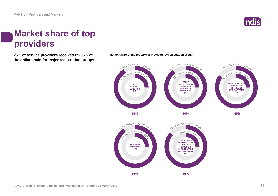

# **Market share of top providers**

**25% of service providers received 85-95% of Market share of the top 25% of providers by registration group. the dollars paid for major registration groups.**



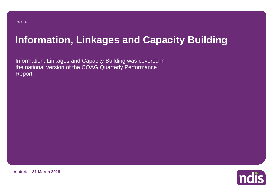# **Information, Linkages and Capacity Building**

Information, Linkages and Capacity Building was covered in the national version of the COAG Quarterly Performance Report.



**Victoria - 31 March 2019**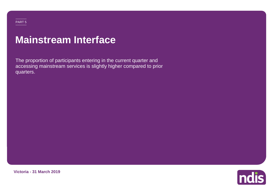### PART 5

# **Mainstream Interface**

The proportion of participants entering in the current quarter and accessing mainstream services is slightly higher compared to prior quarters.



ndis

**Victoria - 31 March 2019**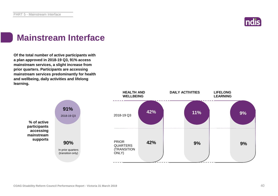

# **Mainstream Interface**

**Of the total number of active participants with a plan approved in 2018-19 Q3, 91% access mainstream services, a slight increase from prior quarters. Participants are accessing mainstream services predominantly for health and wellbeing, daily activities and lifelong learning.**